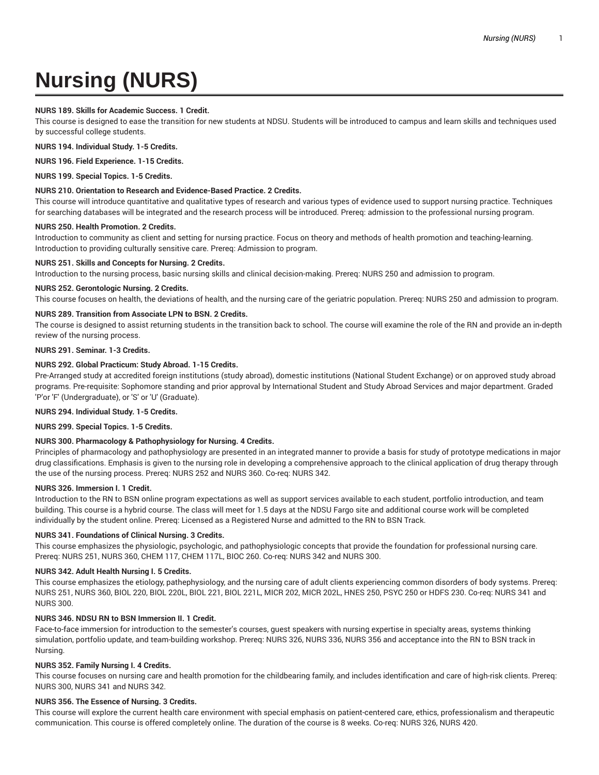# **Nursing (NURS)**

# **NURS 189. Skills for Academic Success. 1 Credit.**

This course is designed to ease the transition for new students at NDSU. Students will be introduced to campus and learn skills and techniques used by successful college students.

**NURS 194. Individual Study. 1-5 Credits.**

**NURS 196. Field Experience. 1-15 Credits.**

**NURS 199. Special Topics. 1-5 Credits.**

## **NURS 210. Orientation to Research and Evidence-Based Practice. 2 Credits.**

This course will introduce quantitative and qualitative types of research and various types of evidence used to support nursing practice. Techniques for searching databases will be integrated and the research process will be introduced. Prereq: admission to the professional nursing program.

#### **NURS 250. Health Promotion. 2 Credits.**

Introduction to community as client and setting for nursing practice. Focus on theory and methods of health promotion and teaching-learning. Introduction to providing culturally sensitive care. Prereq: Admission to program.

#### **NURS 251. Skills and Concepts for Nursing. 2 Credits.**

Introduction to the nursing process, basic nursing skills and clinical decision-making. Prereq: NURS 250 and admission to program.

#### **NURS 252. Gerontologic Nursing. 2 Credits.**

This course focuses on health, the deviations of health, and the nursing care of the geriatric population. Prereq: NURS 250 and admission to program.

# **NURS 289. Transition from Associate LPN to BSN. 2 Credits.**

The course is designed to assist returning students in the transition back to school. The course will examine the role of the RN and provide an in-depth review of the nursing process.

#### **NURS 291. Seminar. 1-3 Credits.**

# **NURS 292. Global Practicum: Study Abroad. 1-15 Credits.**

Pre-Arranged study at accredited foreign institutions (study abroad), domestic institutions (National Student Exchange) or on approved study abroad programs. Pre-requisite: Sophomore standing and prior approval by International Student and Study Abroad Services and major department. Graded 'P'or 'F' (Undergraduate), or 'S' or 'U' (Graduate).

#### **NURS 294. Individual Study. 1-5 Credits.**

**NURS 299. Special Topics. 1-5 Credits.**

# **NURS 300. Pharmacology & Pathophysiology for Nursing. 4 Credits.**

Principles of pharmacology and pathophysiology are presented in an integrated manner to provide a basis for study of prototype medications in major drug classifications. Emphasis is given to the nursing role in developing a comprehensive approach to the clinical application of drug therapy through the use of the nursing process. Prereq: NURS 252 and NURS 360. Co-req: NURS 342.

#### **NURS 326. Immersion I. 1 Credit.**

Introduction to the RN to BSN online program expectations as well as support services available to each student, portfolio introduction, and team building. This course is a hybrid course. The class will meet for 1.5 days at the NDSU Fargo site and additional course work will be completed individually by the student online. Prereq: Licensed as a Registered Nurse and admitted to the RN to BSN Track.

#### **NURS 341. Foundations of Clinical Nursing. 3 Credits.**

This course emphasizes the physiologic, psychologic, and pathophysiologic concepts that provide the foundation for professional nursing care. Prereq: NURS 251, NURS 360, CHEM 117, CHEM 117L, BIOC 260. Co-req: NURS 342 and NURS 300.

# **NURS 342. Adult Health Nursing I. 5 Credits.**

This course emphasizes the etiology, pathephysiology, and the nursing care of adult clients experiencing common disorders of body systems. Prereq: NURS 251, NURS 360, BIOL 220, BIOL 220L, BIOL 221, BIOL 221L, MICR 202, MICR 202L, HNES 250, PSYC 250 or HDFS 230. Co-req: NURS 341 and NURS 300.

# **NURS 346. NDSU RN to BSN Immersion II. 1 Credit.**

Face-to-face immersion for introduction to the semester's courses, guest speakers with nursing expertise in specialty areas, systems thinking simulation, portfolio update, and team-building workshop. Prereq: NURS 326, NURS 336, NURS 356 and acceptance into the RN to BSN track in Nursing.

# **NURS 352. Family Nursing I. 4 Credits.**

This course focuses on nursing care and health promotion for the childbearing family, and includes identification and care of high-risk clients. Prereq: NURS 300, NURS 341 and NURS 342.

# **NURS 356. The Essence of Nursing. 3 Credits.**

This course will explore the current health care environment with special emphasis on patient-centered care, ethics, professionalism and therapeutic communication. This course is offered completely online. The duration of the course is 8 weeks. Co-req: NURS 326, NURS 420.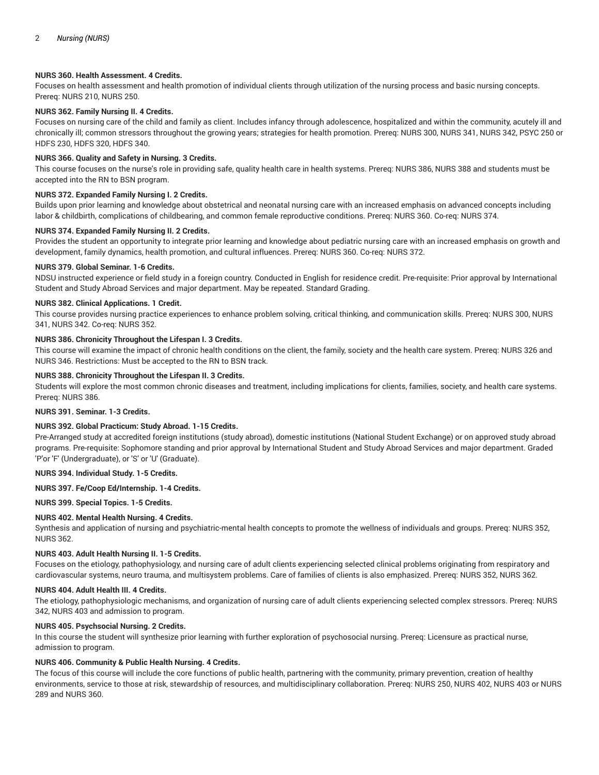# **NURS 360. Health Assessment. 4 Credits.**

Focuses on health assessment and health promotion of individual clients through utilization of the nursing process and basic nursing concepts. Prereq: NURS 210, NURS 250.

# **NURS 362. Family Nursing II. 4 Credits.**

Focuses on nursing care of the child and family as client. Includes infancy through adolescence, hospitalized and within the community, acutely ill and chronically ill; common stressors throughout the growing years; strategies for health promotion. Prereq: NURS 300, NURS 341, NURS 342, PSYC 250 or HDFS 230, HDFS 320, HDFS 340.

## **NURS 366. Quality and Safety in Nursing. 3 Credits.**

This course focuses on the nurse's role in providing safe, quality health care in health systems. Prereq: NURS 386, NURS 388 and students must be accepted into the RN to BSN program.

## **NURS 372. Expanded Family Nursing I. 2 Credits.**

Builds upon prior learning and knowledge about obstetrical and neonatal nursing care with an increased emphasis on advanced concepts including labor & childbirth, complications of childbearing, and common female reproductive conditions. Prereq: NURS 360. Co-req: NURS 374.

#### **NURS 374. Expanded Family Nursing II. 2 Credits.**

Provides the student an opportunity to integrate prior learning and knowledge about pediatric nursing care with an increased emphasis on growth and development, family dynamics, health promotion, and cultural influences. Prereq: NURS 360. Co-req: NURS 372.

#### **NURS 379. Global Seminar. 1-6 Credits.**

NDSU instructed experience or field study in a foreign country. Conducted in English for residence credit. Pre-requisite: Prior approval by International Student and Study Abroad Services and major department. May be repeated. Standard Grading.

## **NURS 382. Clinical Applications. 1 Credit.**

This course provides nursing practice experiences to enhance problem solving, critical thinking, and communication skills. Prereq: NURS 300, NURS 341, NURS 342. Co-req: NURS 352.

## **NURS 386. Chronicity Throughout the Lifespan I. 3 Credits.**

This course will examine the impact of chronic health conditions on the client, the family, society and the health care system. Prereq: NURS 326 and NURS 346. Restrictions: Must be accepted to the RN to BSN track.

#### **NURS 388. Chronicity Throughout the Lifespan II. 3 Credits.**

Students will explore the most common chronic diseases and treatment, including implications for clients, families, society, and health care systems. Prereq: NURS 386.

#### **NURS 391. Seminar. 1-3 Credits.**

# **NURS 392. Global Practicum: Study Abroad. 1-15 Credits.**

Pre-Arranged study at accredited foreign institutions (study abroad), domestic institutions (National Student Exchange) or on approved study abroad programs. Pre-requisite: Sophomore standing and prior approval by International Student and Study Abroad Services and major department. Graded 'P'or 'F' (Undergraduate), or 'S' or 'U' (Graduate).

#### **NURS 394. Individual Study. 1-5 Credits.**

# **NURS 397. Fe/Coop Ed/Internship. 1-4 Credits.**

**NURS 399. Special Topics. 1-5 Credits.**

# **NURS 402. Mental Health Nursing. 4 Credits.**

Synthesis and application of nursing and psychiatric-mental health concepts to promote the wellness of individuals and groups. Prereq: NURS 352, NURS 362.

## **NURS 403. Adult Health Nursing II. 1-5 Credits.**

Focuses on the etiology, pathophysiology, and nursing care of adult clients experiencing selected clinical problems originating from respiratory and cardiovascular systems, neuro trauma, and multisystem problems. Care of families of clients is also emphasized. Prereq: NURS 352, NURS 362.

#### **NURS 404. Adult Health III. 4 Credits.**

The etiology, pathophysiologic mechanisms, and organization of nursing care of adult clients experiencing selected complex stressors. Prereq: NURS 342, NURS 403 and admission to program.

#### **NURS 405. Psychsocial Nursing. 2 Credits.**

In this course the student will synthesize prior learning with further exploration of psychosocial nursing. Prereq: Licensure as practical nurse, admission to program.

# **NURS 406. Community & Public Health Nursing. 4 Credits.**

The focus of this course will include the core functions of public health, partnering with the community, primary prevention, creation of healthy environments, service to those at risk, stewardship of resources, and multidisciplinary collaboration. Prereq: NURS 250, NURS 402, NURS 403 or NURS 289 and NURS 360.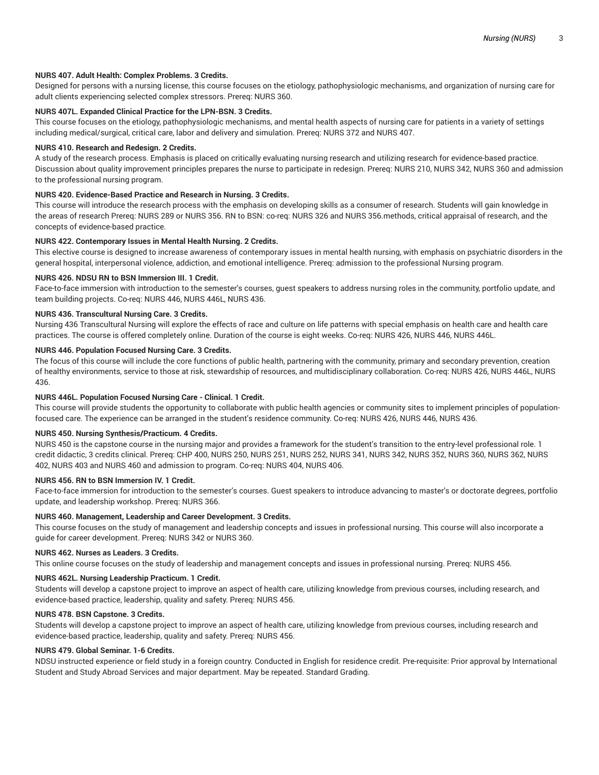# **NURS 407. Adult Health: Complex Problems. 3 Credits.**

Designed for persons with a nursing license, this course focuses on the etiology, pathophysiologic mechanisms, and organization of nursing care for adult clients experiencing selected complex stressors. Prereq: NURS 360.

# **NURS 407L. Expanded Clinical Practice for the LPN-BSN. 3 Credits.**

This course focuses on the etiology, pathophysiologic mechanisms, and mental health aspects of nursing care for patients in a variety of settings including medical/surgical, critical care, labor and delivery and simulation. Prereq: NURS 372 and NURS 407.

#### **NURS 410. Research and Redesign. 2 Credits.**

A study of the research process. Emphasis is placed on critically evaluating nursing research and utilizing research for evidence-based practice. Discussion about quality improvement principles prepares the nurse to participate in redesign. Prereq: NURS 210, NURS 342, NURS 360 and admission to the professional nursing program.

# **NURS 420. Evidence-Based Practice and Research in Nursing. 3 Credits.**

This course will introduce the research process with the emphasis on developing skills as a consumer of research. Students will gain knowledge in the areas of research Prereq: NURS 289 or NURS 356. RN to BSN: co-req: NURS 326 and NURS 356.methods, critical appraisal of research, and the concepts of evidence-based practice.

#### **NURS 422. Contemporary Issues in Mental Health Nursing. 2 Credits.**

This elective course is designed to increase awareness of contemporary issues in mental health nursing, with emphasis on psychiatric disorders in the general hospital, interpersonal violence, addiction, and emotional intelligence. Prereq: admission to the professional Nursing program.

#### **NURS 426. NDSU RN to BSN Immersion III. 1 Credit.**

Face-to-face immersion with introduction to the semester's courses, guest speakers to address nursing roles in the community, portfolio update, and team building projects. Co-req: NURS 446, NURS 446L, NURS 436.

#### **NURS 436. Transcultural Nursing Care. 3 Credits.**

Nursing 436 Transcultural Nursing will explore the effects of race and culture on life patterns with special emphasis on health care and health care practices. The course is offered completely online. Duration of the course is eight weeks. Co-req: NURS 426, NURS 446, NURS 446L.

#### **NURS 446. Population Focused Nursing Care. 3 Credits.**

The focus of this course will include the core functions of public health, partnering with the community, primary and secondary prevention, creation of healthy environments, service to those at risk, stewardship of resources, and multidisciplinary collaboration. Co-req: NURS 426, NURS 446L, NURS 436.

# **NURS 446L. Population Focused Nursing Care - Clinical. 1 Credit.**

This course will provide students the opportunity to collaborate with public health agencies or community sites to implement principles of populationfocused care. The experience can be arranged in the student's residence community. Co-req: NURS 426, NURS 446, NURS 436.

#### **NURS 450. Nursing Synthesis/Practicum. 4 Credits.**

NURS 450 is the capstone course in the nursing major and provides a framework for the student's transition to the entry-level professional role. 1 credit didactic, 3 credits clinical. Prereq: CHP 400, NURS 250, NURS 251, NURS 252, NURS 341, NURS 342, NURS 352, NURS 360, NURS 362, NURS 402, NURS 403 and NURS 460 and admission to program. Co-req: NURS 404, NURS 406.

#### **NURS 456. RN to BSN Immersion IV. 1 Credit.**

Face-to-face immersion for introduction to the semester's courses. Guest speakers to introduce advancing to master's or doctorate degrees, portfolio update, and leadership workshop. Prereq: NURS 366.

# **NURS 460. Management, Leadership and Career Development. 3 Credits.**

This course focuses on the study of management and leadership concepts and issues in professional nursing. This course will also incorporate a guide for career development. Prereq: NURS 342 or NURS 360.

# **NURS 462. Nurses as Leaders. 3 Credits.**

This online course focuses on the study of leadership and management concepts and issues in professional nursing. Prereq: NURS 456.

#### **NURS 462L. Nursing Leadership Practicum. 1 Credit.**

Students will develop a capstone project to improve an aspect of health care, utilizing knowledge from previous courses, including research, and evidence-based practice, leadership, quality and safety. Prereq: NURS 456.

#### **NURS 478. BSN Capstone. 3 Credits.**

Students will develop a capstone project to improve an aspect of health care, utilizing knowledge from previous courses, including research and evidence-based practice, leadership, quality and safety. Prereq: NURS 456.

#### **NURS 479. Global Seminar. 1-6 Credits.**

NDSU instructed experience or field study in a foreign country. Conducted in English for residence credit. Pre-requisite: Prior approval by International Student and Study Abroad Services and major department. May be repeated. Standard Grading.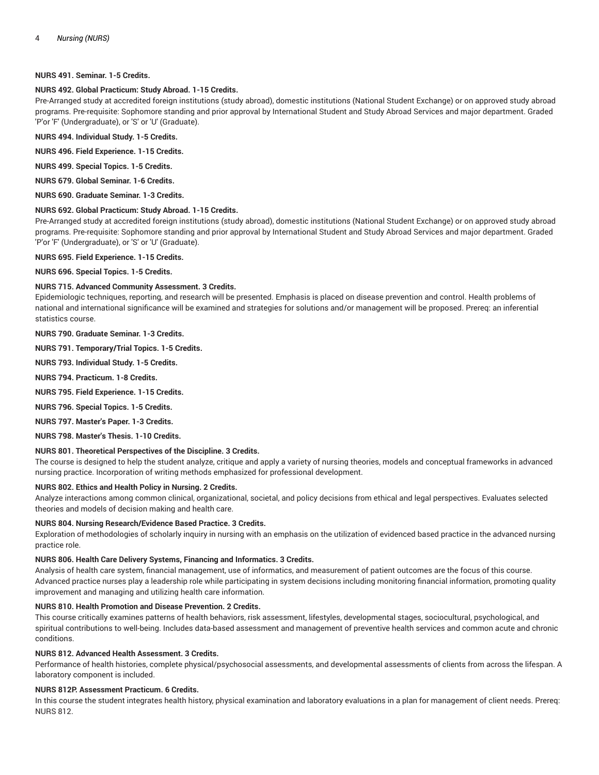# **NURS 491. Seminar. 1-5 Credits.**

## **NURS 492. Global Practicum: Study Abroad. 1-15 Credits.**

Pre-Arranged study at accredited foreign institutions (study abroad), domestic institutions (National Student Exchange) or on approved study abroad programs. Pre-requisite: Sophomore standing and prior approval by International Student and Study Abroad Services and major department. Graded 'P'or 'F' (Undergraduate), or 'S' or 'U' (Graduate).

**NURS 494. Individual Study. 1-5 Credits.**

**NURS 496. Field Experience. 1-15 Credits.**

**NURS 499. Special Topics. 1-5 Credits.**

**NURS 679. Global Seminar. 1-6 Credits.**

**NURS 690. Graduate Seminar. 1-3 Credits.**

# **NURS 692. Global Practicum: Study Abroad. 1-15 Credits.**

Pre-Arranged study at accredited foreign institutions (study abroad), domestic institutions (National Student Exchange) or on approved study abroad programs. Pre-requisite: Sophomore standing and prior approval by International Student and Study Abroad Services and major department. Graded 'P'or 'F' (Undergraduate), or 'S' or 'U' (Graduate).

**NURS 695. Field Experience. 1-15 Credits.**

**NURS 696. Special Topics. 1-5 Credits.**

#### **NURS 715. Advanced Community Assessment. 3 Credits.**

Epidemiologic techniques, reporting, and research will be presented. Emphasis is placed on disease prevention and control. Health problems of national and international significance will be examined and strategies for solutions and/or management will be proposed. Prereq: an inferential statistics course.

**NURS 790. Graduate Seminar. 1-3 Credits.**

**NURS 791. Temporary/Trial Topics. 1-5 Credits.**

**NURS 793. Individual Study. 1-5 Credits.**

**NURS 794. Practicum. 1-8 Credits.**

**NURS 795. Field Experience. 1-15 Credits.**

**NURS 796. Special Topics. 1-5 Credits.**

**NURS 797. Master's Paper. 1-3 Credits.**

**NURS 798. Master's Thesis. 1-10 Credits.**

# **NURS 801. Theoretical Perspectives of the Discipline. 3 Credits.**

The course is designed to help the student analyze, critique and apply a variety of nursing theories, models and conceptual frameworks in advanced nursing practice. Incorporation of writing methods emphasized for professional development.

#### **NURS 802. Ethics and Health Policy in Nursing. 2 Credits.**

Analyze interactions among common clinical, organizational, societal, and policy decisions from ethical and legal perspectives. Evaluates selected theories and models of decision making and health care.

#### **NURS 804. Nursing Research/Evidence Based Practice. 3 Credits.**

Exploration of methodologies of scholarly inquiry in nursing with an emphasis on the utilization of evidenced based practice in the advanced nursing practice role.

#### **NURS 806. Health Care Delivery Systems, Financing and Informatics. 3 Credits.**

Analysis of health care system, financial management, use of informatics, and measurement of patient outcomes are the focus of this course. Advanced practice nurses play a leadership role while participating in system decisions including monitoring financial information, promoting quality improvement and managing and utilizing health care information.

#### **NURS 810. Health Promotion and Disease Prevention. 2 Credits.**

This course critically examines patterns of health behaviors, risk assessment, lifestyles, developmental stages, sociocultural, psychological, and spiritual contributions to well-being. Includes data-based assessment and management of preventive health services and common acute and chronic conditions.

## **NURS 812. Advanced Health Assessment. 3 Credits.**

Performance of health histories, complete physical/psychosocial assessments, and developmental assessments of clients from across the lifespan. A laboratory component is included.

#### **NURS 812P. Assessment Practicum. 6 Credits.**

In this course the student integrates health history, physical examination and laboratory evaluations in a plan for management of client needs. Prereq: NURS 812.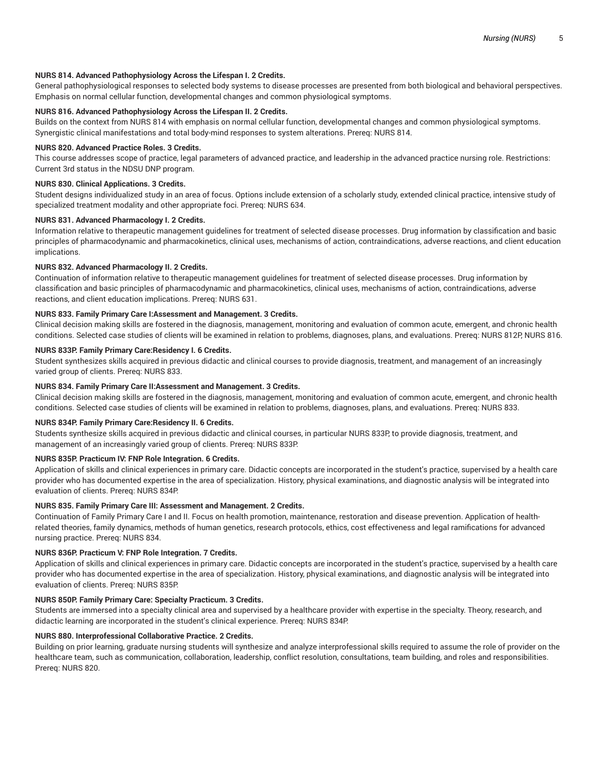# **NURS 814. Advanced Pathophysiology Across the Lifespan I. 2 Credits.**

General pathophysiological responses to selected body systems to disease processes are presented from both biological and behavioral perspectives. Emphasis on normal cellular function, developmental changes and common physiological symptoms.

# **NURS 816. Advanced Pathophysiology Across the Lifespan II. 2 Credits.**

Builds on the context from NURS 814 with emphasis on normal cellular function, developmental changes and common physiological symptoms. Synergistic clinical manifestations and total body-mind responses to system alterations. Prereq: NURS 814.

#### **NURS 820. Advanced Practice Roles. 3 Credits.**

This course addresses scope of practice, legal parameters of advanced practice, and leadership in the advanced practice nursing role. Restrictions: Current 3rd status in the NDSU DNP program.

# **NURS 830. Clinical Applications. 3 Credits.**

Student designs individualized study in an area of focus. Options include extension of a scholarly study, extended clinical practice, intensive study of specialized treatment modality and other appropriate foci. Prereq: NURS 634.

# **NURS 831. Advanced Pharmacology I. 2 Credits.**

Information relative to therapeutic management guidelines for treatment of selected disease processes. Drug information by classification and basic principles of pharmacodynamic and pharmacokinetics, clinical uses, mechanisms of action, contraindications, adverse reactions, and client education implications.

#### **NURS 832. Advanced Pharmacology II. 2 Credits.**

Continuation of information relative to therapeutic management guidelines for treatment of selected disease processes. Drug information by classification and basic principles of pharmacodynamic and pharmacokinetics, clinical uses, mechanisms of action, contraindications, adverse reactions, and client education implications. Prereq: NURS 631.

#### **NURS 833. Family Primary Care I:Assessment and Management. 3 Credits.**

Clinical decision making skills are fostered in the diagnosis, management, monitoring and evaluation of common acute, emergent, and chronic health conditions. Selected case studies of clients will be examined in relation to problems, diagnoses, plans, and evaluations. Prereq: NURS 812P, NURS 816.

#### **NURS 833P. Family Primary Care:Residency I. 6 Credits.**

Student synthesizes skills acquired in previous didactic and clinical courses to provide diagnosis, treatment, and management of an increasingly varied group of clients. Prereq: NURS 833.

# **NURS 834. Family Primary Care II:Assessment and Management. 3 Credits.**

Clinical decision making skills are fostered in the diagnosis, management, monitoring and evaluation of common acute, emergent, and chronic health conditions. Selected case studies of clients will be examined in relation to problems, diagnoses, plans, and evaluations. Prereq: NURS 833.

# **NURS 834P. Family Primary Care:Residency II. 6 Credits.**

Students synthesize skills acquired in previous didactic and clinical courses, in particular NURS 833P, to provide diagnosis, treatment, and management of an increasingly varied group of clients. Prereq: NURS 833P.

# **NURS 835P. Practicum IV: FNP Role Integration. 6 Credits.**

Application of skills and clinical experiences in primary care. Didactic concepts are incorporated in the student's practice, supervised by a health care provider who has documented expertise in the area of specialization. History, physical examinations, and diagnostic analysis will be integrated into evaluation of clients. Prereq: NURS 834P.

## **NURS 835. Family Primary Care III: Assessment and Management. 2 Credits.**

Continuation of Family Primary Care I and II. Focus on health promotion, maintenance, restoration and disease prevention. Application of healthrelated theories, family dynamics, methods of human genetics, research protocols, ethics, cost effectiveness and legal ramifications for advanced nursing practice. Prereq: NURS 834.

#### **NURS 836P. Practicum V: FNP Role Integration. 7 Credits.**

Application of skills and clinical experiences in primary care. Didactic concepts are incorporated in the student's practice, supervised by a health care provider who has documented expertise in the area of specialization. History, physical examinations, and diagnostic analysis will be integrated into evaluation of clients. Prereq: NURS 835P.

# **NURS 850P. Family Primary Care: Specialty Practicum. 3 Credits.**

Students are immersed into a specialty clinical area and supervised by a healthcare provider with expertise in the specialty. Theory, research, and didactic learning are incorporated in the student's clinical experience. Prereq: NURS 834P.

#### **NURS 880. Interprofessional Collaborative Practice. 2 Credits.**

Building on prior learning, graduate nursing students will synthesize and analyze interprofessional skills required to assume the role of provider on the healthcare team, such as communication, collaboration, leadership, conflict resolution, consultations, team building, and roles and responsibilities. Prereq: NURS 820.